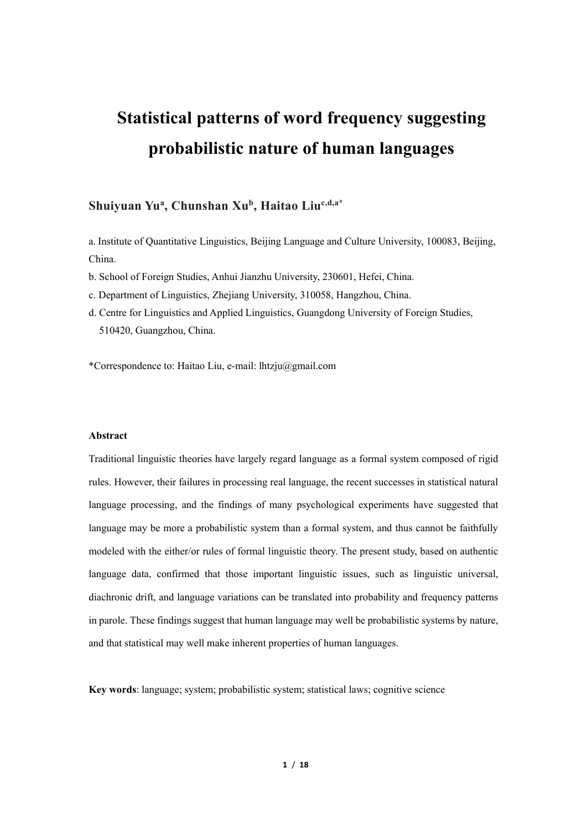# **Statistical patterns of word frequency suggesting probabilistic nature of human languages**

# **Shuiyuan Yu<sup>a</sup> , Chunshan Xu<sup>b</sup> , Haitao Liuc,d,a\***

a. Institute of Quantitative Linguistics, Beijing Language and Culture University, 100083, Beijing, China.

b. School of Foreign Studies, Anhui Jianzhu University, 230601, Hefei, China.

c. Department of Linguistics, Zhejiang University, 310058, Hangzhou, China.

d. Centre for Linguistics and Applied Linguistics, Guangdong University of Foreign Studies, 510420, Guangzhou, China.

\*Correspondence to: Haitao Liu, e-mail: lhtzju@gmail.com

### **Abstract**

Traditional linguistic theories have largely regard language as a formal system composed of rigid rules. However, their failures in processing real language, the recent successes in statistical natural language processing, and the findings of many psychological experiments have suggested that language may be more a probabilistic system than a formal system, and thus cannot be faithfully modeled with the either/or rules of formal linguistic theory. The present study, based on authentic language data, confirmed that those important linguistic issues, such as linguistic universal, diachronic drift, and language variations can be translated into probability and frequency patterns in parole. These findings suggest that human language may well be probabilistic systems by nature, and that statistical may well make inherent properties of human languages.

**Key words**: language; system; probabilistic system; statistical laws; cognitive science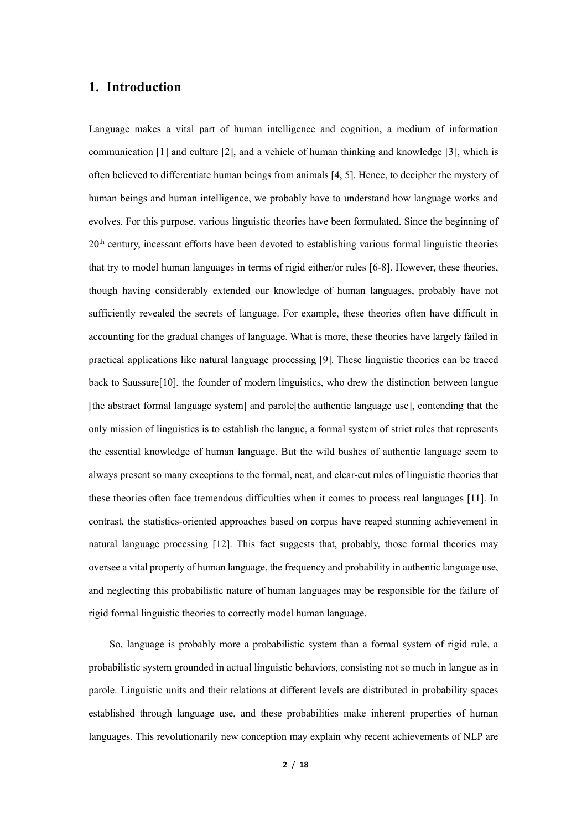# **1. Introduction**

Language makes a vital part of human intelligence and cognition, a medium of information communication [1] and culture [2], and a vehicle of human thinking and knowledge [3], which is often believed to differentiate human beings from animals [4, 5]. Hence, to decipher the mystery of human beings and human intelligence, we probably have to understand how language works and evolves. For this purpose, various linguistic theories have been formulated. Since the beginning of 20<sup>th</sup> century, incessant efforts have been devoted to establishing various formal linguistic theories that try to model human languages in terms of rigid either/or rules [6-8]. However, these theories, though having considerably extended our knowledge of human languages, probably have not sufficiently revealed the secrets of language. For example, these theories often have difficult in accounting for the gradual changes of language. What is more, these theories have largely failed in practical applications like natural language processing [9]. These linguistic theories can be traced back to Saussure[10], the founder of modern linguistics, who drew the distinction between langue [the abstract formal language system] and parole[the authentic language use], contending that the only mission of linguistics is to establish the langue, a formal system of strict rules that represents the essential knowledge of human language. But the wild bushes of authentic language seem to always present so many exceptions to the formal, neat, and clear-cut rules of linguistic theories that these theories often face tremendous difficulties when it comes to process real languages [11]. In contrast, the statistics-oriented approaches based on corpus have reaped stunning achievement in natural language processing [12]. This fact suggests that, probably, those formal theories may oversee a vital property of human language, the frequency and probability in authentic language use, and neglecting this probabilistic nature of human languages may be responsible for the failure of rigid formal linguistic theories to correctly model human language.

So, language is probably more a probabilistic system than a formal system of rigid rule, a probabilistic system grounded in actual linguistic behaviors, consisting not so much in langue as in parole. Linguistic units and their relations at different levels are distributed in probability spaces established through language use, and these probabilities make inherent properties of human languages. This revolutionarily new conception may explain why recent achievements of NLP are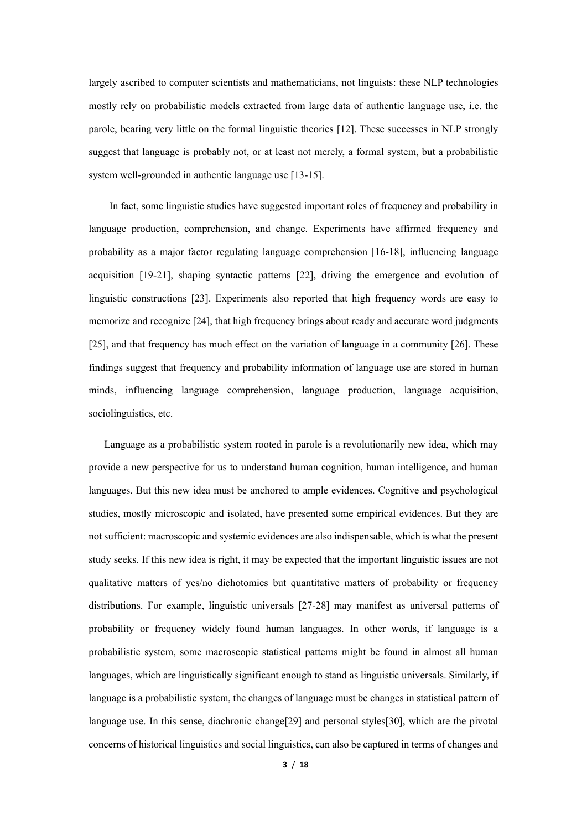largely ascribed to computer scientists and mathematicians, not linguists: these NLP technologies mostly rely on probabilistic models extracted from large data of authentic language use, i.e. the parole, bearing very little on the formal linguistic theories [12]. These successes in NLP strongly suggest that language is probably not, or at least not merely, a formal system, but a probabilistic system well-grounded in authentic language use [13-15].

In fact, some linguistic studies have suggested important roles of frequency and probability in language production, comprehension, and change. Experiments have affirmed frequency and probability as a major factor regulating language comprehension [16-18], influencing language acquisition [19-21], shaping syntactic patterns [22], driving the emergence and evolution of linguistic constructions [23]. Experiments also reported that high frequency words are easy to memorize and recognize [24], that high frequency brings about ready and accurate word judgments [25], and that frequency has much effect on the variation of language in a community [26]. These findings suggest that frequency and probability information of language use are stored in human minds, influencing language comprehension, language production, language acquisition, sociolinguistics, etc.

Language as a probabilistic system rooted in parole is a revolutionarily new idea, which may provide a new perspective for us to understand human cognition, human intelligence, and human languages. But this new idea must be anchored to ample evidences. Cognitive and psychological studies, mostly microscopic and isolated, have presented some empirical evidences. But they are not sufficient: macroscopic and systemic evidences are also indispensable, which is what the present study seeks. If this new idea is right, it may be expected that the important linguistic issues are not qualitative matters of yes/no dichotomies but quantitative matters of probability or frequency distributions. For example, linguistic universals [27-28] may manifest as universal patterns of probability or frequency widely found human languages. In other words, if language is a probabilistic system, some macroscopic statistical patterns might be found in almost all human languages, which are linguistically significant enough to stand as linguistic universals. Similarly, if language is a probabilistic system, the changes of language must be changes in statistical pattern of language use. In this sense, diachronic change[29] and personal styles[30], which are the pivotal concerns of historical linguistics and social linguistics, can also be captured in terms of changes and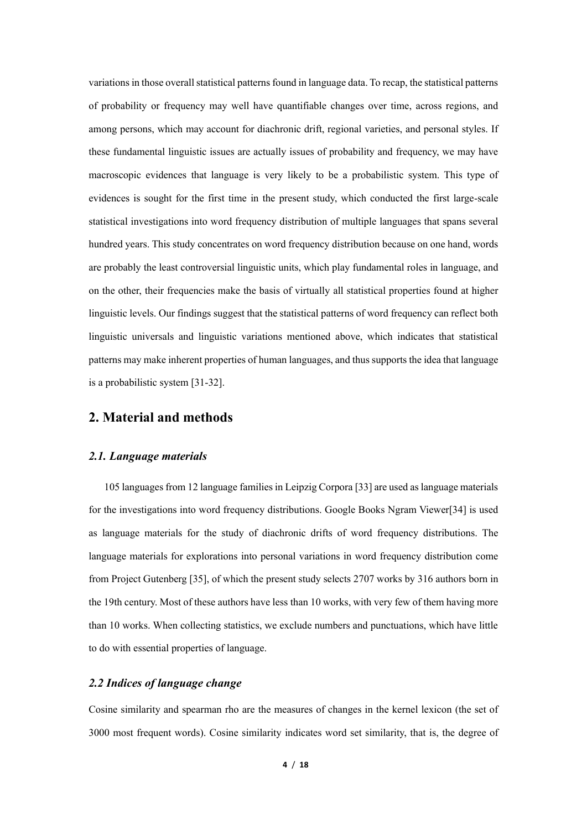variations in those overall statistical patterns found in language data. To recap, the statistical patterns of probability or frequency may well have quantifiable changes over time, across regions, and among persons, which may account for diachronic drift, regional varieties, and personal styles. If these fundamental linguistic issues are actually issues of probability and frequency, we may have macroscopic evidences that language is very likely to be a probabilistic system. This type of evidences is sought for the first time in the present study, which conducted the first large-scale statistical investigations into word frequency distribution of multiple languages that spans several hundred years. This study concentrates on word frequency distribution because on one hand, words are probably the least controversial linguistic units, which play fundamental roles in language, and on the other, their frequencies make the basis of virtually all statistical properties found at higher linguistic levels. Our findings suggest that the statistical patterns of word frequency can reflect both linguistic universals and linguistic variations mentioned above, which indicates that statistical patterns may make inherent properties of human languages, and thus supports the idea that language is a probabilistic system [31-32].

# **2. Material and methods**

### *2.1. Language materials*

105 languages from 12 language families in Leipzig Corpora [33] are used as language materials for the investigations into word frequency distributions. Google Books Ngram Viewer[34] is used as language materials for the study of diachronic drifts of word frequency distributions. The language materials for explorations into personal variations in word frequency distribution come from Project Gutenberg [35], of which the present study selects 2707 works by 316 authors born in the 19th century. Most of these authors have less than 10 works, with very few of them having more than 10 works. When collecting statistics, we exclude numbers and punctuations, which have little to do with essential properties of language.

### *2.2 Indices of language change*

Cosine similarity and spearman rho are the measures of changes in the kernel lexicon (the set of 3000 most frequent words). Cosine similarity indicates word set similarity, that is, the degree of

**4** / **18**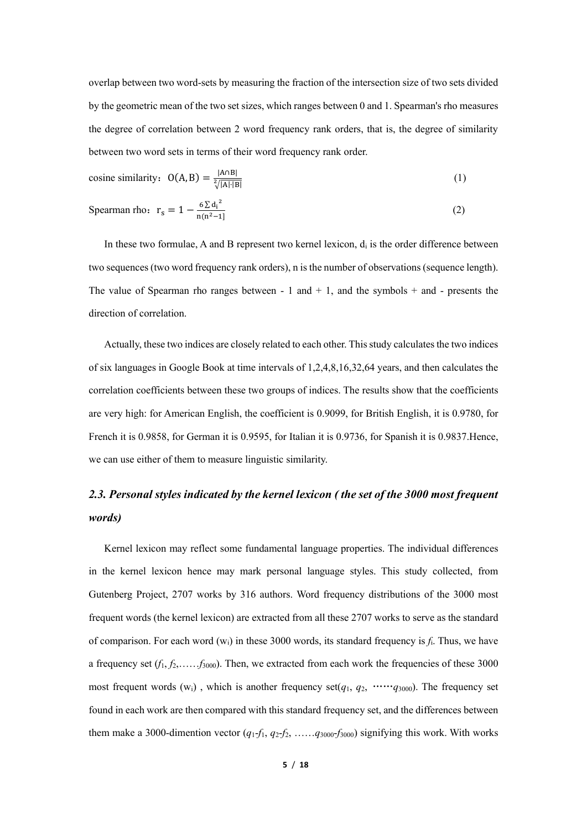overlap between two word-sets by measuring the fraction of the intersection size of two sets divided by the geometric mean of the two set sizes, which ranges between 0 and 1. Spearman's rho measures the degree of correlation between 2 word frequency rank orders, that is, the degree of similarity between two word sets in terms of their word frequency rank order.

cosine similarity: 
$$
O(A, B) = \frac{|A \cap B|}{\sqrt[2]{|A| \cdot |B|}}
$$
 (1)

Spearman rho: 
$$
r_s = 1 - \frac{6 \sum d_i^2}{n(n^2 - 1)}
$$
 (2)

In these two formulae, A and B represent two kernel lexicon,  $d_i$  is the order difference between two sequences (two word frequency rank orders), n is the number of observations (sequence length). The value of Spearman rho ranges between  $-1$  and  $+1$ , and the symbols  $+$  and  $-$  presents the direction of correlation.

Actually, these two indices are closely related to each other. This study calculates the two indices of six languages in Google Book at time intervals of 1,2,4,8,16,32,64 years, and then calculates the correlation coefficients between these two groups of indices. The results show that the coefficients are very high: for American English, the coefficient is 0.9099, for British English, it is 0.9780, for French it is 0.9858, for German it is 0.9595, for Italian it is 0.9736, for Spanish it is 0.9837.Hence, we can use either of them to measure linguistic similarity.

# *2.3. Personal styles indicated by the kernel lexicon ( the set of the 3000 most frequent words)*

Kernel lexicon may reflect some fundamental language properties. The individual differences in the kernel lexicon hence may mark personal language styles. This study collected, from Gutenberg Project, 2707 works by 316 authors. Word frequency distributions of the 3000 most frequent words (the kernel lexicon) are extracted from all these 2707 works to serve as the standard of comparison. For each word (wi) in these 3000 words, its standard frequency is *f*i. Thus, we have a frequency set (*f*1, *f*2,……*f*3000). Then, we extracted from each work the frequencies of these 3000 most frequent words  $(w_i)$ , which is another frequency set $(q_1, q_2, \dots, q_{3000})$ . The frequency set found in each work are then compared with this standard frequency set, and the differences between them make a 3000-dimention vector (*q*1-*f*1, *q*2-*f*2, ……*q*3000-*f*3000) signifying this work. With works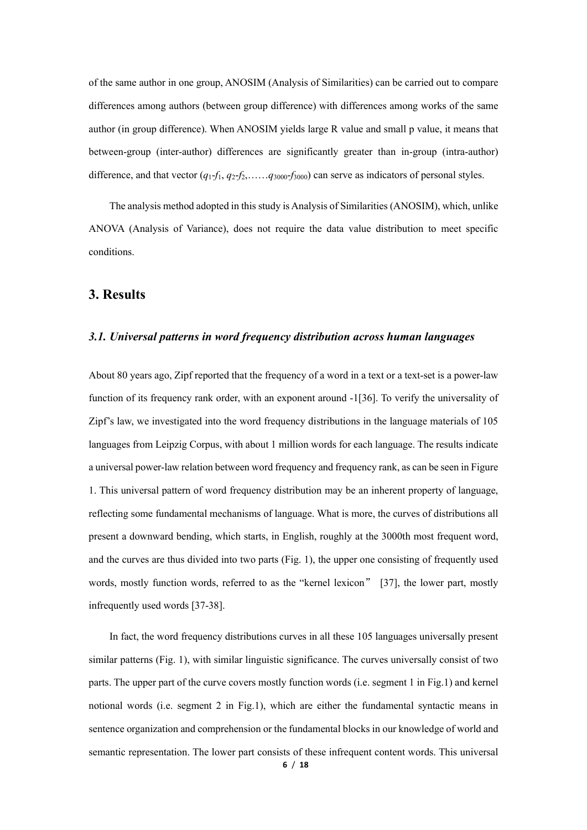of the same author in one group, ANOSIM (Analysis of Similarities) can be carried out to compare differences among authors (between group difference) with differences among works of the same author (in group difference). When ANOSIM yields large R value and small p value, it means that between-group (inter-author) differences are significantly greater than in-group (intra-author) difference, and that vector (*q*1-*f*1, *q*2-*f*2,……*q*3000-*f*3000) can serve as indicators of personal styles.

The analysis method adopted in this study is Analysis of Similarities (ANOSIM), which, unlike ANOVA (Analysis of Variance), does not require the data value distribution to meet specific conditions.

# **3. Results**

#### *3.1. Universal patterns in word frequency distribution across human languages*

About 80 years ago, Zipf reported that the frequency of a word in a text or a text-set is a power-law function of its frequency rank order, with an exponent around -1[36]. To verify the universality of Zipf's law, we investigated into the word frequency distributions in the language materials of 105 languages from Leipzig Corpus, with about 1 million words for each language. The results indicate a universal power-law relation between word frequency and frequency rank, as can be seen in Figure 1. This universal pattern of word frequency distribution may be an inherent property of language, reflecting some fundamental mechanisms of language. What is more, the curves of distributions all present a downward bending, which starts, in English, roughly at the 3000th most frequent word, and the curves are thus divided into two parts (Fig. 1), the upper one consisting of frequently used words, mostly function words, referred to as the "kernel lexicon" [37], the lower part, mostly infrequently used words [37-38].

In fact, the word frequency distributions curves in all these 105 languages universally present similar patterns (Fig. 1), with similar linguistic significance. The curves universally consist of two parts. The upper part of the curve covers mostly function words (i.e. segment 1 in Fig.1) and kernel notional words (i.e. segment 2 in Fig.1), which are either the fundamental syntactic means in sentence organization and comprehension or the fundamental blocks in our knowledge of world and semantic representation. The lower part consists of these infrequent content words. This universal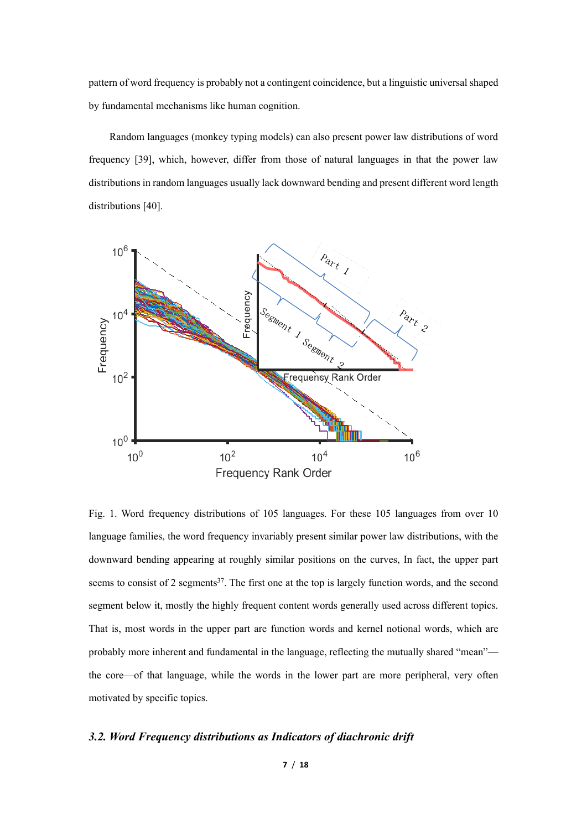pattern of word frequency is probably not a contingent coincidence, but a linguistic universal shaped by fundamental mechanisms like human cognition.

Random languages (monkey typing models) can also present power law distributions of word frequency [39], which, however, differ from those of natural languages in that the power law distributions in random languages usually lack downward bending and present different word length distributions [40].



Fig. 1. Word frequency distributions of 105 languages. For these 105 languages from over 10 language families, the word frequency invariably present similar power law distributions, with the downward bending appearing at roughly similar positions on the curves, In fact, the upper part seems to consist of 2 segments<sup>37</sup>. The first one at the top is largely function words, and the second segment below it, mostly the highly frequent content words generally used across different topics. That is, most words in the upper part are function words and kernel notional words, which are probably more inherent and fundamental in the language, reflecting the mutually shared "mean" the core—of that language, while the words in the lower part are more peripheral, very often motivated by specific topics.

### *3.2. Word Frequency distributions as Indicators of diachronic drift*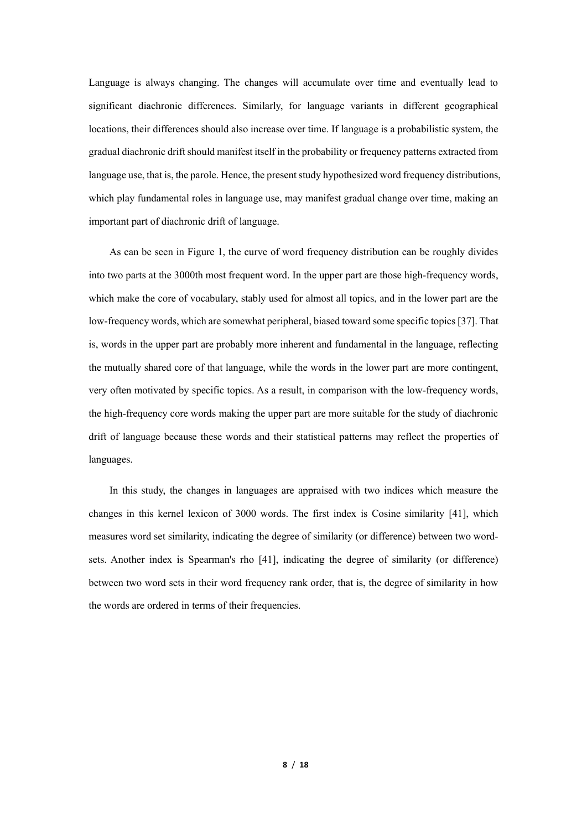Language is always changing. The changes will accumulate over time and eventually lead to significant diachronic differences. Similarly, for language variants in different geographical locations, their differences should also increase over time. If language is a probabilistic system, the gradual diachronic drift should manifest itself in the probability or frequency patterns extracted from language use, that is, the parole. Hence, the present study hypothesized word frequency distributions, which play fundamental roles in language use, may manifest gradual change over time, making an important part of diachronic drift of language.

As can be seen in Figure 1, the curve of word frequency distribution can be roughly divides into two parts at the 3000th most frequent word. In the upper part are those high-frequency words, which make the core of vocabulary, stably used for almost all topics, and in the lower part are the low-frequency words, which are somewhat peripheral, biased toward some specific topics [37]. That is, words in the upper part are probably more inherent and fundamental in the language, reflecting the mutually shared core of that language, while the words in the lower part are more contingent, very often motivated by specific topics. As a result, in comparison with the low-frequency words, the high-frequency core words making the upper part are more suitable for the study of diachronic drift of language because these words and their statistical patterns may reflect the properties of languages.

In this study, the changes in languages are appraised with two indices which measure the changes in this kernel lexicon of 3000 words. The first index is Cosine similarity [41], which measures word set similarity, indicating the degree of similarity (or difference) between two wordsets. Another index is Spearman's rho [41], indicating the degree of similarity (or difference) between two word sets in their word frequency rank order, that is, the degree of similarity in how the words are ordered in terms of their frequencies.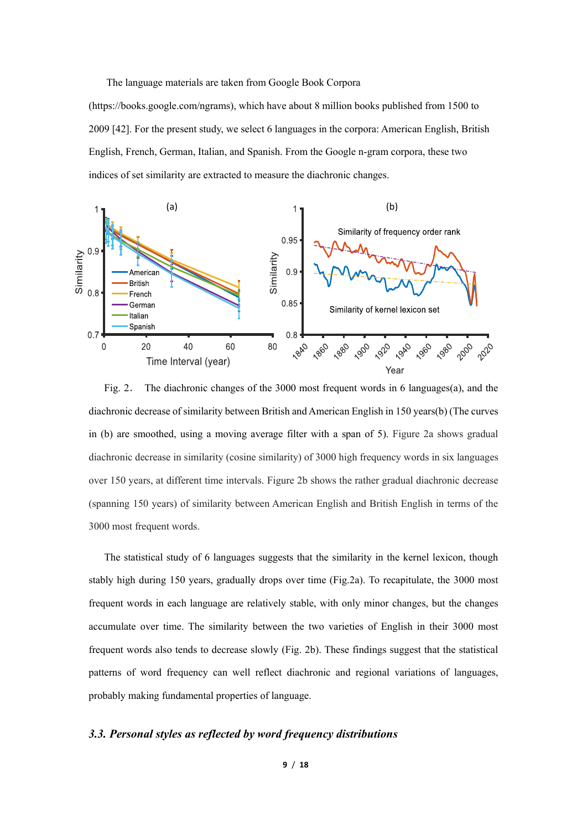The language materials are taken from Google Book Corpora

(https://books.google.com/ngrams), which have about 8 million books published from 1500 to 2009 [42]. For the present study, we select 6 languages in the corpora: American English, British English, French, German, Italian, and Spanish. From the Google n-gram corpora, these two indices of set similarity are extracted to measure the diachronic changes.



Fig. 2. The diachronic changes of the 3000 most frequent words in 6 languages(a), and the diachronic decrease of similarity between British and American English in 150 years(b) (The curves in (b) are smoothed, using a moving average filter with a span of 5). Figure 2a shows gradual diachronic decrease in similarity (cosine similarity) of 3000 high frequency words in six languages over 150 years, at different time intervals. Figure 2b shows the rather gradual diachronic decrease (spanning 150 years) of similarity between American English and British English in terms of the 3000 most frequent words.

The statistical study of 6 languages suggests that the similarity in the kernel lexicon, though stably high during 150 years, gradually drops over time (Fig.2a). To recapitulate, the 3000 most frequent words in each language are relatively stable, with only minor changes, but the changes accumulate over time. The similarity between the two varieties of English in their 3000 most frequent words also tends to decrease slowly (Fig. 2b). These findings suggest that the statistical patterns of word frequency can well reflect diachronic and regional variations of languages, probably making fundamental properties of language.

### *3.3. Personal styles as reflected by word frequency distributions*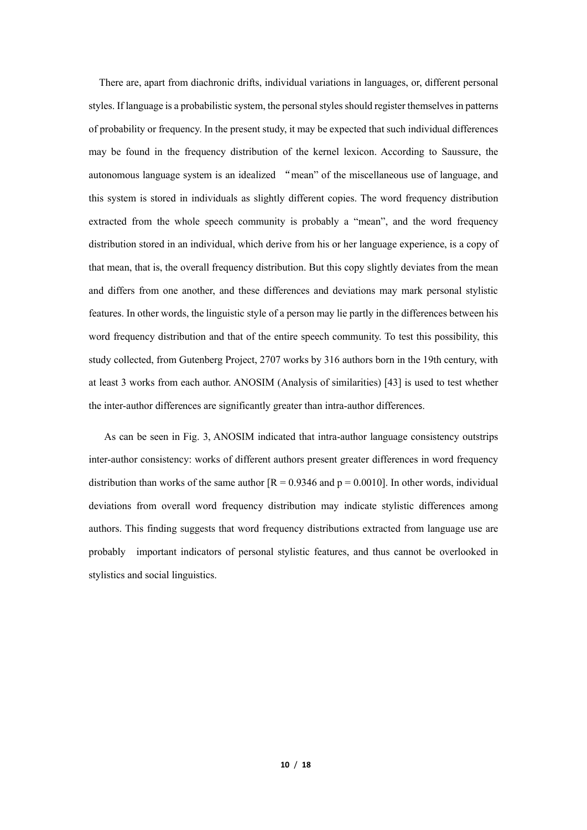There are, apart from diachronic drifts, individual variations in languages, or, different personal styles. If language is a probabilistic system, the personal styles should register themselves in patterns of probability or frequency. In the present study, it may be expected that such individual differences may be found in the frequency distribution of the kernel lexicon. According to Saussure, the autonomous language system is an idealized "mean" of the miscellaneous use of language, and this system is stored in individuals as slightly different copies. The word frequency distribution extracted from the whole speech community is probably a "mean", and the word frequency distribution stored in an individual, which derive from his or her language experience, is a copy of that mean, that is, the overall frequency distribution. But this copy slightly deviates from the mean and differs from one another, and these differences and deviations may mark personal stylistic features. In other words, the linguistic style of a person may lie partly in the differences between his word frequency distribution and that of the entire speech community. To test this possibility, this study collected, from Gutenberg Project, 2707 works by 316 authors born in the 19th century, with at least 3 works from each author. ANOSIM (Analysis of similarities) [43] is used to test whether the inter-author differences are significantly greater than intra-author differences.

As can be seen in Fig. 3, ANOSIM indicated that intra-author language consistency outstrips inter-author consistency: works of different authors present greater differences in word frequency distribution than works of the same author  $[R = 0.9346$  and  $p = 0.0010]$ . In other words, individual deviations from overall word frequency distribution may indicate stylistic differences among authors. This finding suggests that word frequency distributions extracted from language use are probably important indicators of personal stylistic features, and thus cannot be overlooked in stylistics and social linguistics.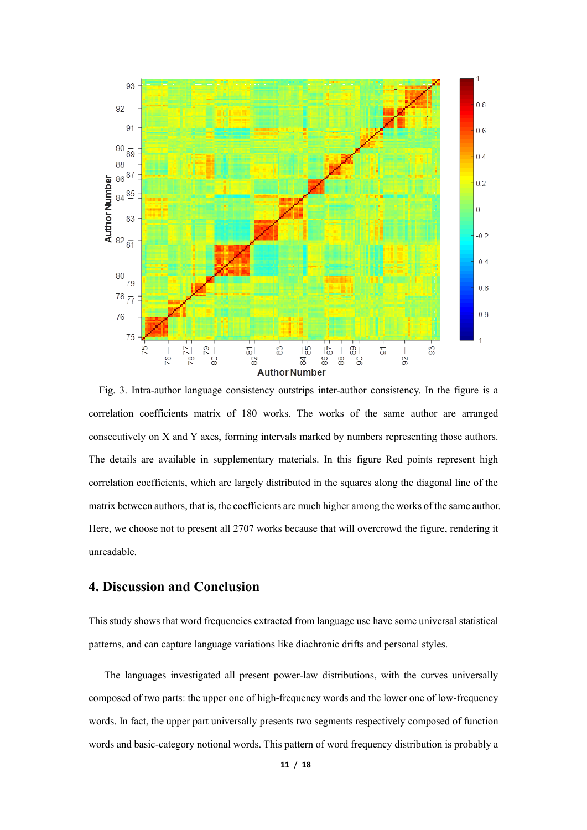

Fig. 3. Intra-author language consistency outstrips inter-author consistency. In the figure is a correlation coefficients matrix of 180 works. The works of the same author are arranged consecutively on X and Y axes, forming intervals marked by numbers representing those authors. The details are available in supplementary materials. In this figure Red points represent high correlation coefficients, which are largely distributed in the squares along the diagonal line of the matrix between authors, that is, the coefficients are much higher among the works of the same author. Here, we choose not to present all 2707 works because that will overcrowd the figure, rendering it unreadable.

### **4. Discussion and Conclusion**

This study shows that word frequencies extracted from language use have some universal statistical patterns, and can capture language variations like diachronic drifts and personal styles.

The languages investigated all present power-law distributions, with the curves universally composed of two parts: the upper one of high-frequency words and the lower one of low-frequency words. In fact, the upper part universally presents two segments respectively composed of function words and basic-category notional words. This pattern of word frequency distribution is probably a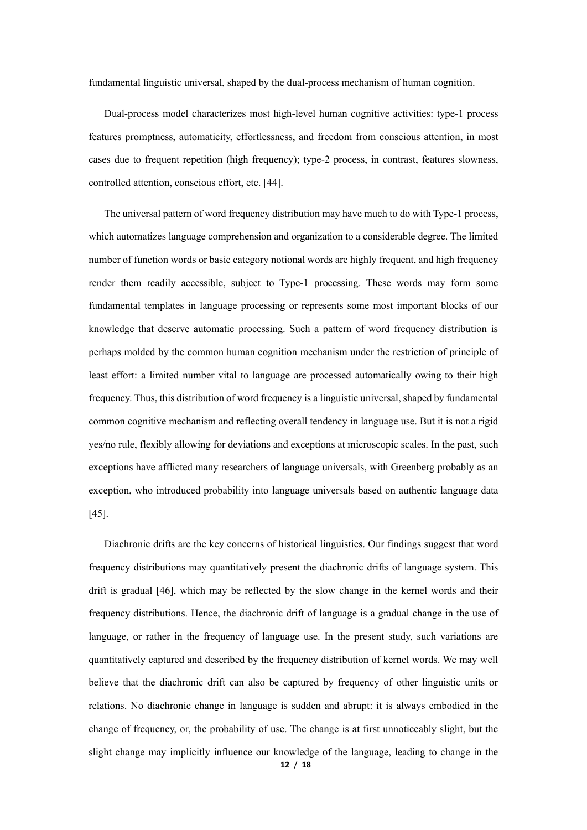fundamental linguistic universal, shaped by the dual-process mechanism of human cognition.

Dual-process model characterizes most high-level human cognitive activities: type-1 process features promptness, automaticity, effortlessness, and freedom from conscious attention, in most cases due to frequent repetition (high frequency); type-2 process, in contrast, features slowness, controlled attention, conscious effort, etc. [44].

The universal pattern of word frequency distribution may have much to do with Type-1 process, which automatizes language comprehension and organization to a considerable degree. The limited number of function words or basic category notional words are highly frequent, and high frequency render them readily accessible, subject to Type-1 processing. These words may form some fundamental templates in language processing or represents some most important blocks of our knowledge that deserve automatic processing. Such a pattern of word frequency distribution is perhaps molded by the common human cognition mechanism under the restriction of principle of least effort: a limited number vital to language are processed automatically owing to their high frequency. Thus, this distribution of word frequency is a linguistic universal, shaped by fundamental common cognitive mechanism and reflecting overall tendency in language use. But it is not a rigid yes/no rule, flexibly allowing for deviations and exceptions at microscopic scales. In the past, such exceptions have afflicted many researchers of language universals, with Greenberg probably as an exception, who introduced probability into language universals based on authentic language data [45].

Diachronic drifts are the key concerns of historical linguistics. Our findings suggest that word frequency distributions may quantitatively present the diachronic drifts of language system. This drift is gradual [46], which may be reflected by the slow change in the kernel words and their frequency distributions. Hence, the diachronic drift of language is a gradual change in the use of language, or rather in the frequency of language use. In the present study, such variations are quantitatively captured and described by the frequency distribution of kernel words. We may well believe that the diachronic drift can also be captured by frequency of other linguistic units or relations. No diachronic change in language is sudden and abrupt: it is always embodied in the change of frequency, or, the probability of use. The change is at first unnoticeably slight, but the slight change may implicitly influence our knowledge of the language, leading to change in the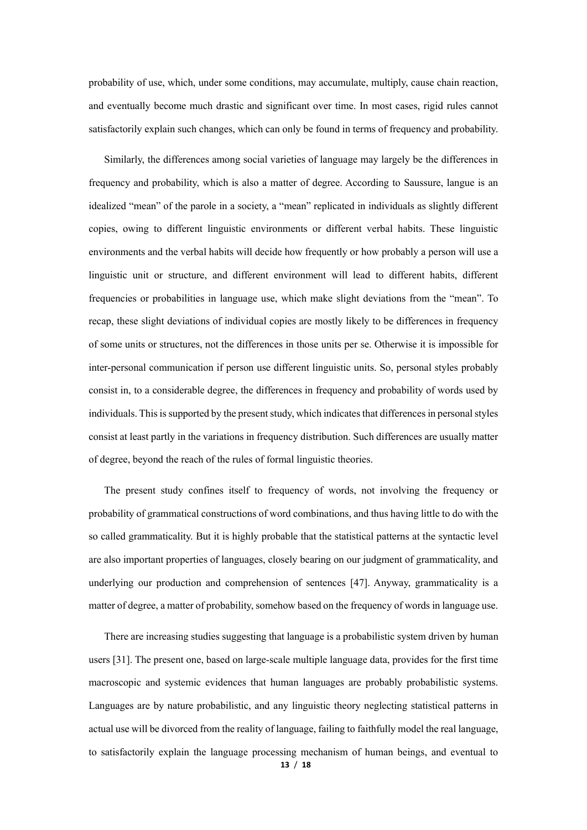probability of use, which, under some conditions, may accumulate, multiply, cause chain reaction, and eventually become much drastic and significant over time. In most cases, rigid rules cannot satisfactorily explain such changes, which can only be found in terms of frequency and probability.

Similarly, the differences among social varieties of language may largely be the differences in frequency and probability, which is also a matter of degree. According to Saussure, langue is an idealized "mean" of the parole in a society, a "mean" replicated in individuals as slightly different copies, owing to different linguistic environments or different verbal habits. These linguistic environments and the verbal habits will decide how frequently or how probably a person will use a linguistic unit or structure, and different environment will lead to different habits, different frequencies or probabilities in language use, which make slight deviations from the "mean". To recap, these slight deviations of individual copies are mostly likely to be differences in frequency of some units or structures, not the differences in those units per se. Otherwise it is impossible for inter-personal communication if person use different linguistic units. So, personal styles probably consist in, to a considerable degree, the differences in frequency and probability of words used by individuals. This is supported by the present study, which indicates that differences in personal styles consist at least partly in the variations in frequency distribution. Such differences are usually matter of degree, beyond the reach of the rules of formal linguistic theories.

The present study confines itself to frequency of words, not involving the frequency or probability of grammatical constructions of word combinations, and thus having little to do with the so called grammaticality. But it is highly probable that the statistical patterns at the syntactic level are also important properties of languages, closely bearing on our judgment of grammaticality, and underlying our production and comprehension of sentences [47]. Anyway, grammaticality is a matter of degree, a matter of probability, somehow based on the frequency of words in language use.

There are increasing studies suggesting that language is a probabilistic system driven by human users [31]. The present one, based on large-scale multiple language data, provides for the first time macroscopic and systemic evidences that human languages are probably probabilistic systems. Languages are by nature probabilistic, and any linguistic theory neglecting statistical patterns in actual use will be divorced from the reality of language, failing to faithfully model the real language, to satisfactorily explain the language processing mechanism of human beings, and eventual to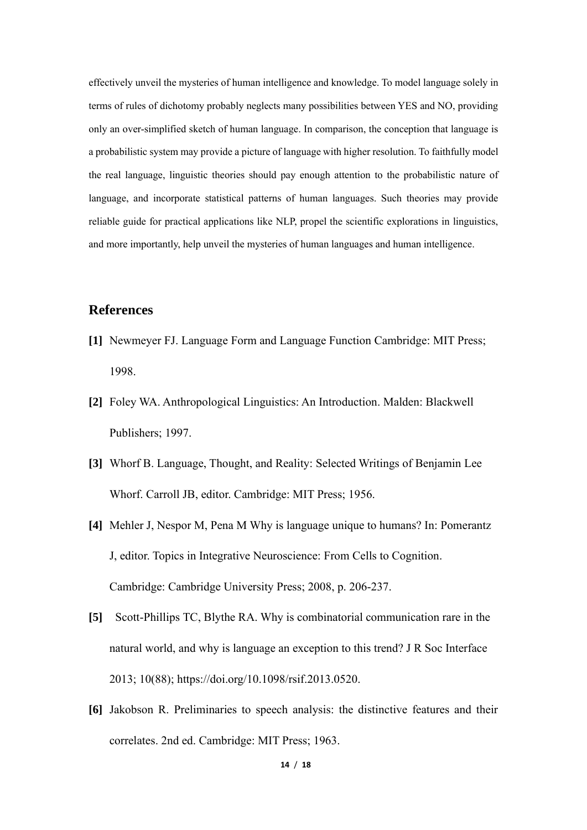effectively unveil the mysteries of human intelligence and knowledge. To model language solely in terms of rules of dichotomy probably neglects many possibilities between YES and NO, providing only an over-simplified sketch of human language. In comparison, the conception that language is a probabilistic system may provide a picture of language with higher resolution. To faithfully model the real language, linguistic theories should pay enough attention to the probabilistic nature of language, and incorporate statistical patterns of human languages. Such theories may provide reliable guide for practical applications like NLP, propel the scientific explorations in linguistics, and more importantly, help unveil the mysteries of human languages and human intelligence.

# **References**

- **[1]** Newmeyer FJ. Language Form and Language Function Cambridge: MIT Press; 1998.
- **[2]** Foley WA. Anthropological Linguistics: An Introduction. Malden: Blackwell Publishers; 1997.
- **[3]** Whorf B. Language, Thought, and Reality: Selected Writings of Benjamin Lee Whorf. Carroll JB, editor. Cambridge: MIT Press; 1956.
- **[4]** Mehler J, Nespor M, Pena M Why is language unique to humans? In: Pomerantz J, editor. Topics in Integrative Neuroscience: From Cells to Cognition. Cambridge: Cambridge University Press; 2008, p. 206-237.
- **[5]** [Scott-Phillips](http://adsabs.harvard.edu/cgi-bin/author_form?author=Scott-Phillips,+T&fullauthor=Scott-Phillips,%20Thomas%20C.&charset=UTF-8&db_key=PRE) TC, [Blythe](http://adsabs.harvard.edu/cgi-bin/author_form?author=Blythe,+R&fullauthor=Blythe,%20Richard%20A.&charset=UTF-8&db_key=PRE) RA. Why is combinatorial communication rare in the natural world, and why is language an exception to this trend? J R Soc Interface 2013; 10(88); https://doi.org/10.1098/rsif.2013.0520.
- **[6]** Jakobson R. Preliminaries to speech analysis: the distinctive features and their correlates. 2nd ed. Cambridge: MIT Press; 1963.

**14** / **18**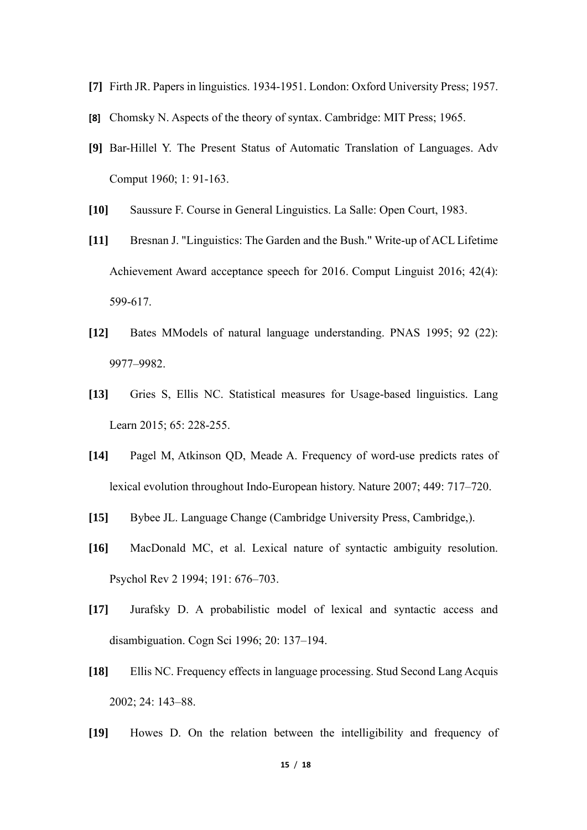- **[7]** Firth JR. Papers in linguistics. 1934-1951. London: Oxford University Press; 1957.
- **[8]** Chomsky N. Aspects of the theory of syntax. Cambridge: MIT Press; 1965.
- **[9]** Bar-Hillel Y. The Present Status of Automatic Translation of Languages. Adv Comput 1960; 1: 91-163.
- **[10]** Saussure F. Course in General Linguistics. La Salle: Open Court, 1983.
- **[11]** Bresnan J. "Linguistics: The Garden and the Bush." Write-up of ACL Lifetime Achievement Award acceptance speech for 2016. Comput Linguist 2016; 42(4): 599-617.
- **[12]** Bates MModels of natural language understanding. PNAS 1995; 92 (22): 9977–9982.
- **[13]** Gries S, Ellis NC. Statistical measures for Usage-based linguistics. Lang Learn 2015; 65: 228-255.
- **[14]** Pagel M, Atkinson QD, Meade A. Frequency of word-use predicts rates of lexical evolution throughout Indo-European history. Nature 2007; 449: 717–720.
- **[15]** Bybee JL. Language Change (Cambridge University Press, Cambridge,).
- **[16]** MacDonald MC, et al. Lexical nature of syntactic ambiguity resolution. Psychol Rev 2 1994; 191: 676–703.
- **[17]** Jurafsky D. A probabilistic model of lexical and syntactic access and disambiguation. Cogn Sci 1996; 20: 137–194.
- **[18]** Ellis NC. Frequency effects in language processing. Stud Second Lang Acquis 2002; 24: 143–88.
- **[19]** Howes D. On the relation between the intelligibility and frequency of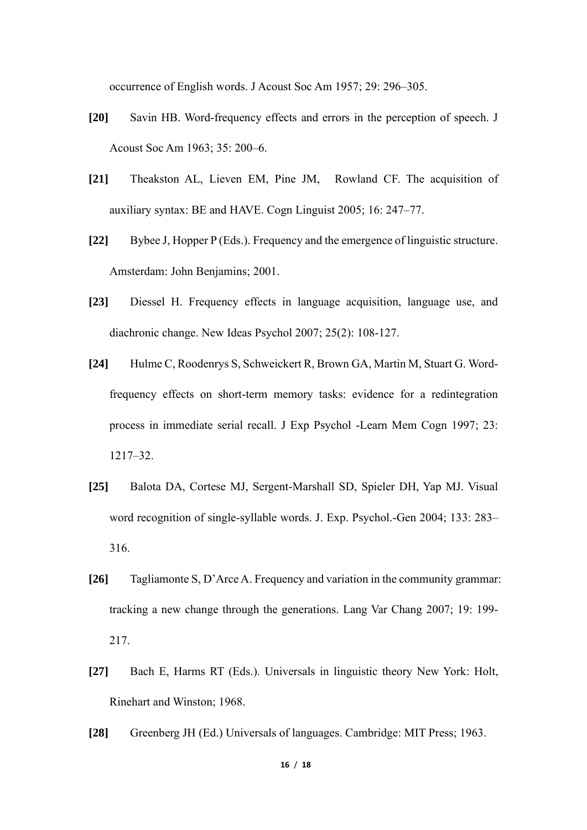occurrence of English words. J Acoust Soc Am 1957; 29: 296–305.

- **[20]** Savin HB. Word-frequency effects and errors in the perception of speech. J Acoust Soc Am 1963; 35: 200–6.
- **[21]** Theakston AL, Lieven EM, Pine JM, Rowland CF. The acquisition of auxiliary syntax: BE and HAVE. Cogn Linguist 2005; 16: 247–77.
- **[22]** Bybee J, Hopper P (Eds.). Frequency and the emergence of linguistic structure. Amsterdam: John Benjamins; 2001.
- **[23]** Diessel H. Frequency effects in language acquisition, language use, and diachronic change. New Ideas Psychol 2007; 25(2): 108-127.
- **[24]** Hulme C, Roodenrys S, Schweickert R, Brown GA, Martin M, Stuart G. Wordfrequency effects on short-term memory tasks: evidence for a redintegration process in immediate serial recall. J Exp Psychol -Learn Mem Cogn 1997; 23: 1217–32.
- **[25]** Balota DA, Cortese MJ, Sergent-Marshall SD, Spieler DH, Yap MJ. Visual word recognition of single-syllable words. J. Exp. Psychol.-Gen 2004; 133: 283– 316.
- **[26]** Tagliamonte S, D'Arce A. Frequency and variation in the community grammar: tracking a new change through the generations. Lang Var Chang 2007; 19: 199- 217.
- **[27]** Bach E, Harms RT (Eds.). Universals in linguistic theory New York: Holt, Rinehart and Winston; 1968.
- **[28]** Greenberg JH (Ed.) Universals of languages. Cambridge: MIT Press; 1963.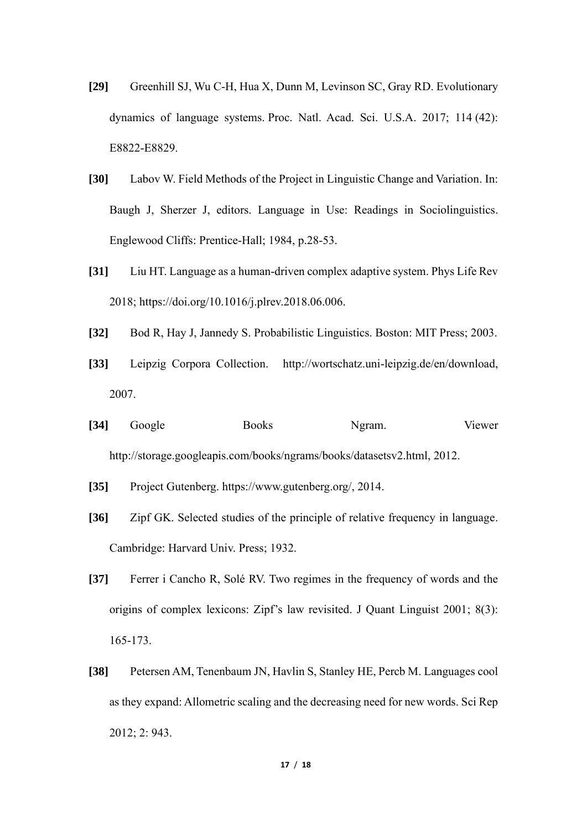- **[29]** Greenhill SJ, Wu C-H, Hua X, Dunn M, Levinson SC, Gray RD. Evolutionary dynamics of language systems. Proc. Natl. Acad. Sci. U.S.A. 2017; 114 (42): E8822-E8829.
- **[30]** Labov W. Field Methods of the Project in Linguistic Change and Variation. In: Baugh J, Sherzer J, editors. Language in Use: Readings in Sociolinguistics. Englewood Cliffs: Prentice-Hall; 1984, p.28-53.
- **[31]** Liu HT. Language as a human-driven complex adaptive system. Phys Life Rev 2018; https://doi.org/10.1016/j.plrev.2018.06.006.
- **[32]** Bod R, Hay J, Jannedy S. Probabilistic Linguistics. Boston: MIT Press; 2003.
- **[33]** Leipzig Corpora Collection. http://wortschatz.uni-leipzig.de/en/download, 2007.
- **[34]** Google Books Ngram. Viewer http://storage.googleapis.com/books/ngrams/books/datasetsv2.html, 2012.
- **[35]** Project Gutenberg. https://www.gutenberg.org/, 2014.
- **[36]** Zipf GK. Selected studies of the principle of relative frequency in language. Cambridge: Harvard Univ. Press; 1932.
- **[37]** Ferrer i Cancho R, Solé RV. Two regimes in the frequency of words and the origins of complex lexicons: Zipf's law revisited. J Quant Linguist 2001; 8(3): 165-173.
- **[38]** Petersen AM, Tenenbaum JN, Havlin S, Stanley HE, Percb M. Languages cool as they expand: Allometric scaling and the decreasing need for new words. Sci Rep 2012; 2: 943.